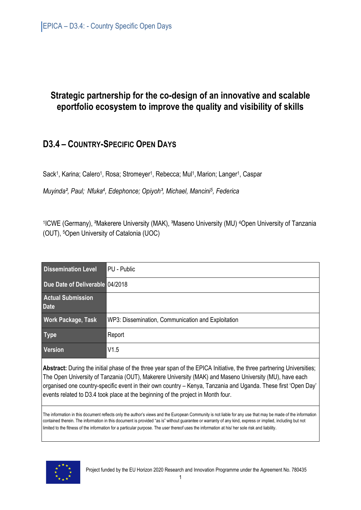# **Strategic partnership for the co-design of an innovative and scalable eportfolio ecosystem to improve the quality and visibility of skills**

# **D3.4 – COUNTRY-SPECIFIC OPEN DAYS**

Sack<sup>1</sup>, Karina; Calero<sup>1</sup>, Rosa; Stromeyer<sup>1</sup>, Rebecca; Mul<sup>1</sup>, Marion; Langer<sup>1</sup>, Caspar

*Muyinda², Paul; Nfuka<sup>4</sup> , Edephonce; Opiyoh³, Michael, Mancini<sup>5</sup> , Federica* 

1 ICWE (Germany), ²Makerere University (MAK), ³Maseno University (MU) <sup>4</sup>Open University of Tanzania (OUT), <sup>5</sup>Open University of Catalonia (UOC)

| <b>Dissemination Level</b>              | PU - Public                                        |
|-----------------------------------------|----------------------------------------------------|
| Due Date of Deliverable 04/2018         |                                                    |
| <b>Actual Submission</b><br><b>Date</b> |                                                    |
| <b>Work Package, Task</b>               | WP3: Dissemination, Communication and Exploitation |
| <b>Type</b>                             | Report                                             |
| <b>Version</b>                          | V1.5                                               |

**Abstract:** During the initial phase of the three year span of the EPICA Initiative, the three partnering Universities; The Open University of Tanzania (OUT), Makerere University (MAK) and Maseno University (MU), have each organised one country-specific event in their own country – Kenya, Tanzania and Uganda. These first 'Open Day' events related to D3.4 took place at the beginning of the project in Month four.

The information in this document reflects only the author's views and the European Community is not liable for any use that may be made of the information contained therein. The information in this document is provided "as is" without guarantee or warranty of any kind, express or implied, including but not limited to the fitness of the information for a particular purpose. The user thereof uses the information at his/ her sole risk and liability.

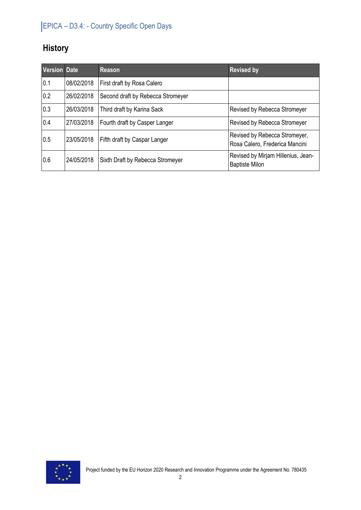# **History**

| <b>Version Date</b> |            | <b>Reason</b>                     | <b>Revised by</b>                                               |
|---------------------|------------|-----------------------------------|-----------------------------------------------------------------|
| 0.1                 | 08/02/2018 | First draft by Rosa Calero        |                                                                 |
| 0.2                 | 26/02/2018 | Second draft by Rebecca Stromeyer |                                                                 |
| 0.3                 | 26/03/2018 | Third draft by Karina Sack        | <b>Revised by Rebecca Stromeyer</b>                             |
| 0.4                 | 27/03/2018 | Fourth draft by Casper Langer     | <b>Revised by Rebecca Stromeyer</b>                             |
| 0.5                 | 23/05/2018 | Fifth draft by Caspar Langer      | Revised by Rebecca Stromeyer,<br>Rosa Calero, Frederica Mancini |
| 0.6                 | 24/05/2018 | Sixth Draft by Rebecca Stromeyer  | Revised by Mirjam Hillenius, Jean-<br><b>Baptiste Milon</b>     |

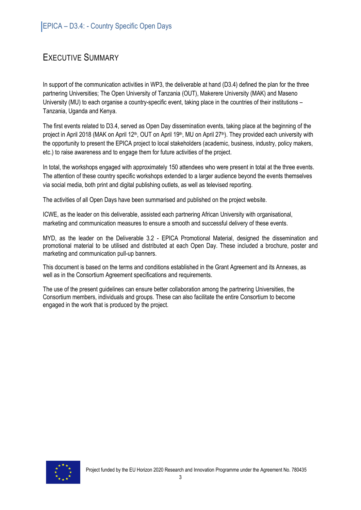## EXECUTIVE SUMMARY

In support of the communication activities in WP3, the deliverable at hand (D3.4) defined the plan for the three partnering Universities; The Open University of Tanzania (OUT), Makerere University (MAK) and Maseno University (MU) to each organise a country-specific event, taking place in the countries of their institutions – Tanzania, Uganda and Kenya.

The first events related to D3.4, served as Open Day dissemination events, taking place at the beginning of the project in April 2018 (MAK on April 12<sup>th</sup>, OUT on April 19<sup>th</sup>, MU on April 27<sup>th</sup>). They provided each university with the opportunity to present the EPICA project to local stakeholders (academic, business, industry, policy makers, etc.) to raise awareness and to engage them for future activities of the project.

In total, the workshops engaged with approximately 150 attendees who were present in total at the three events. The attention of these country specific workshops extended to a larger audience beyond the events themselves via social media, both print and digital publishing outlets, as well as televised reporting.

The activities of all Open Days have been summarised and published on the project website.

ICWE, as the leader on this deliverable, assisted each partnering African University with organisational, marketing and communication measures to ensure a smooth and successful delivery of these events.

MYD, as the leader on the Deliverable 3.2 - EPICA Promotional Material, designed the dissemination and promotional material to be utilised and distributed at each Open Day. These included a brochure, poster and marketing and communication pull-up banners.

This document is based on the terms and conditions established in the Grant Agreement and its Annexes, as well as in the Consortium Agreement specifications and requirements.

The use of the present guidelines can ensure better collaboration among the partnering Universities, the Consortium members, individuals and groups. These can also facilitate the entire Consortium to become engaged in the work that is produced by the project.

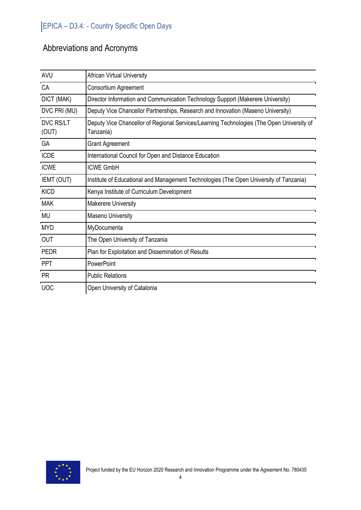# Abbreviations and Acronyms

| <b>AVU</b>                | <b>African Virtual University</b>                                                                      |
|---------------------------|--------------------------------------------------------------------------------------------------------|
| CA                        | Consortium Agreement                                                                                   |
| DICT (MAK)                | Director Information and Communication Technology Support (Makerere University)                        |
| DVC PRI (MU)              | Deputy Vice Chancellor Partnerships, Research and Innovation (Maseno University)                       |
| <b>DVC RS/LT</b><br>(OUT) | Deputy Vice Chancellor of Regional Services/Learning Technologies (The Open University of<br>Tanzania) |
| GA                        | <b>Grant Agreement</b>                                                                                 |
| <b>ICDE</b>               | International Council for Open and Distance Education                                                  |
| <b>ICWE</b>               | <b>ICWE GmbH</b>                                                                                       |
| IEMT (OUT)                | Institute of Educational and Management Technologies (The Open University of Tanzania)                 |
| <b>KICD</b>               | Kenya Institute of Curriculum Development                                                              |
| <b>MAK</b>                | Makerere University                                                                                    |
| <b>MU</b>                 | Maseno University                                                                                      |
| <b>MYD</b>                | MyDocumenta                                                                                            |
| <b>OUT</b>                | The Open University of Tanzania                                                                        |
| <b>PEDR</b>               | Plan for Exploitation and Dissemination of Results                                                     |
| PPT                       | PowerPoint                                                                                             |
| <b>PR</b>                 | <b>Public Relations</b>                                                                                |
| <b>UOC</b>                | Open University of Catalonia                                                                           |

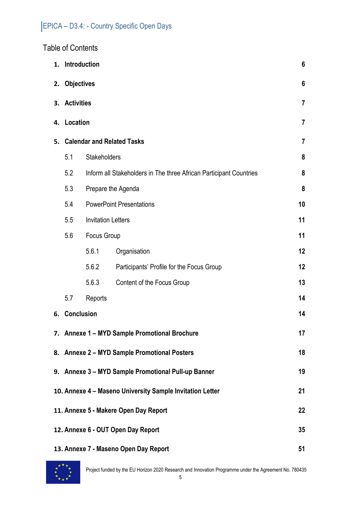## Table of Contents

| 1. | Introduction<br>6                                                         |       |                                           |                |
|----|---------------------------------------------------------------------------|-------|-------------------------------------------|----------------|
| 2. | <b>Objectives</b>                                                         |       | 6                                         |                |
| 3. | <b>Activities</b>                                                         |       |                                           | $\overline{7}$ |
| 4. | Location<br>$\overline{7}$                                                |       |                                           |                |
| 5. |                                                                           |       | <b>Calendar and Related Tasks</b>         | 7              |
|    | 5.1<br>Stakeholders                                                       |       | 8                                         |                |
|    | 5.2<br>Inform all Stakeholders in The three African Participant Countries |       | 8                                         |                |
|    | 5.3                                                                       |       | Prepare the Agenda                        | 8              |
|    | 5.4<br><b>PowerPoint Presentations</b>                                    |       | 10                                        |                |
|    | 5.5<br><b>Invitation Letters</b>                                          |       | 11                                        |                |
|    | Focus Group<br>5.6                                                        |       | 11                                        |                |
|    |                                                                           | 5.6.1 | Organisation                              | 12             |
|    |                                                                           | 5.6.2 | Participants' Profile for the Focus Group | 12             |
|    |                                                                           | 5.6.3 | Content of the Focus Group                | 13             |
|    | 14<br>5.7<br>Reports                                                      |       |                                           |                |
|    | 6. Conclusion<br>14                                                       |       |                                           |                |
|    | 7. Annexe 1 - MYD Sample Promotional Brochure<br>17                       |       |                                           |                |
|    | 18<br>8. Annexe 2 - MYD Sample Promotional Posters                        |       |                                           |                |
|    | 9. Annexe 3 - MYD Sample Promotional Pull-up Banner<br>19                 |       |                                           |                |
|    | 10. Annexe 4 - Maseno University Sample Invitation Letter<br>21           |       |                                           |                |
|    | 22<br>11. Annexe 5 - Makere Open Day Report                               |       |                                           |                |
|    | 12. Annexe 6 - OUT Open Day Report<br>35                                  |       |                                           |                |
|    | 13. Annexe 7 - Maseno Open Day Report<br>51                               |       |                                           |                |

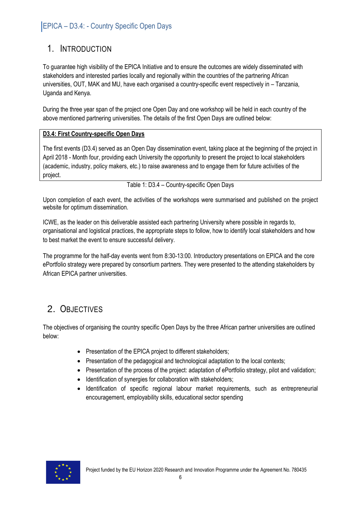# 1. INTRODUCTION

To guarantee high visibility of the EPICA Initiative and to ensure the outcomes are widely disseminated with stakeholders and interested parties locally and regionally within the countries of the partnering African universities, OUT, MAK and MU, have each organised a country-specific event respectively in – Tanzania, Uganda and Kenya.

During the three year span of the project one Open Day and one workshop will be held in each country of the above mentioned partnering universities. The details of the first Open Days are outlined below:

#### **D3.4: First Country-specific Open Days**

The first events (D3.4) served as an Open Day dissemination event, taking place at the beginning of the project in April 2018 - Month four, providing each University the opportunity to present the project to local stakeholders (academic, industry, policy makers, etc.) to raise awareness and to engage them for future activities of the project.

Table 1: D3.4 – Country-specific Open Days

Upon completion of each event, the activities of the workshops were summarised and published on the project website for optimum dissemination.

ICWE, as the leader on this deliverable assisted each partnering University where possible in regards to, organisational and logistical practices, the appropriate steps to follow, how to identify local stakeholders and how to best market the event to ensure successful delivery.

The programme for the half-day events went from 8:30-13:00. Introductory presentations on EPICA and the core ePortfolio strategy were prepared by consortium partners. They were presented to the attending stakeholders by African EPICA partner universities.

# 2. OBJECTIVES

The objectives of organising the country specific Open Days by the three African partner universities are outlined below:

- Presentation of the EPICA project to different stakeholders;
- Presentation of the pedagogical and technological adaptation to the local contexts;
- Presentation of the process of the project: adaptation of ePortfolio strategy, pilot and validation;
- Identification of synergies for collaboration with stakeholders;
- Identification of specific regional labour market requirements, such as entrepreneurial encouragement, employability skills, educational sector spending

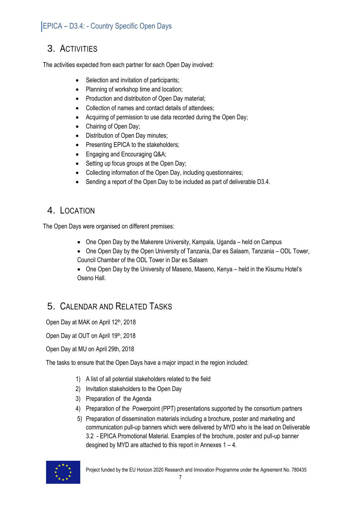## 3. ACTIVITIES

The activities expected from each partner for each Open Day involved:

- Selection and invitation of participants;
- Planning of workshop time and location;
- Production and distribution of Open Day material;
- Collection of names and contact details of attendees;
- Acquiring of permission to use data recorded during the Open Day;
- Chairing of Open Day;
- Distribution of Open Day minutes;
- Presenting EPICA to the stakeholders;
- Engaging and Encouraging Q&A;
- Setting up focus groups at the Open Day;
- Collecting information of the Open Day, including questionnaires;
- Sending a report of the Open Day to be included as part of deliverable D3.4.

## 4. LOCATION

The Open Days were organised on different premises:

- One Open Day by the Makerere University, Kampala, Uganda held on Campus
- One Open Day by the Open University of Tanzania, Dar es Salaam, Tanzania ODL Tower, Council Chamber of the ODL Tower in Dar es Salaam
- One Open Day by the University of Maseno, Maseno, Kenya held in the Kisumu Hotel's Oseno Hall.

# 5. CALENDAR AND RELATED TASKS

Open Day at MAK on April 12th, 2018

Open Day at OUT on April 19th, 2018

Open Day at MU on April 29th, 2018

The tasks to ensure that the Open Days have a major impact in the region included:

- 1) A list of all potential stakeholders related to the field
- 2) Invitation stakeholders to the Open Day
- 3) Preparation of the Agenda
- 4) Preparation of the Powerpoint (PPT) presentations supported by the consortium partners
- 5) Preparation of dissemination materials including a brochure, poster and marketing and communication pull-up banners which were delivered by MYD who is the lead on Deliverable 3.2 - EPICA Promotional Material. Examples of the brochure, poster and pull-up banner desgined by MYD are attached to this report in Annexes 1 – 4.

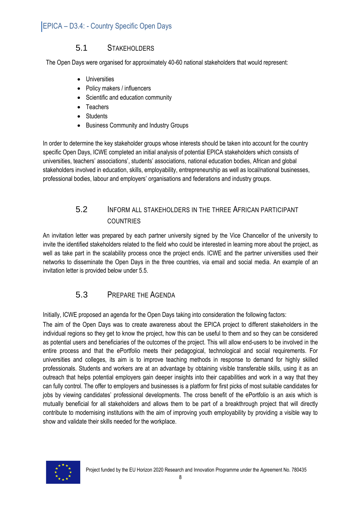### 5.1 STAKEHOLDERS

The Open Days were organised for approximately 40-60 national stakeholders that would represent:

- **•** Universities
- Policy makers / influencers
- Scientific and education community
- Teachers
- Students
- Business Community and Industry Groups

In order to determine the key stakeholder groups whose interests should be taken into account for the country specific Open Days, ICWE completed an initial analysis of potential EPICA stakeholders which consists of universities, teachers' associations', students' associations, national education bodies, African and global stakeholders involved in education, skills, employability, entrepreneurship as well as local/national businesses, professional bodies, labour and employers' organisations and federations and industry groups.

### 5.2 INFORM ALL STAKEHOLDERS IN THE THREE AFRICAN PARTICIPANT COUNTRIES

An invitation letter was prepared by each partner university signed by the Vice Chancellor of the university to invite the identified stakeholders related to the field who could be interested in learning more about the project, as well as take part in the scalability process once the project ends. ICWE and the partner universities used their networks to disseminate the Open Days in the three countries, via email and social media. An example of an invitation letter is provided below under 5.5.

### 5.3 PREPARE THE AGENDA

Initially, ICWE proposed an agenda for the Open Days taking into consideration the following factors:

The aim of the Open Days was to create awareness about the EPICA project to different stakeholders in the individual regions so they get to know the project, how this can be useful to them and so they can be considered as potential users and beneficiaries of the outcomes of the project. This will allow end-users to be involved in the entire process and that the ePortfolio meets their pedagogical, technological and social requirements. For universities and colleges, its aim is to improve teaching methods in response to demand for highly skilled professionals. Students and workers are at an advantage by obtaining visible transferable skills, using it as an outreach that helps potential employers gain deeper insights into their capabilities and work in a way that they can fully control. The offer to employers and businesses is a platform for first picks of most suitable candidates for jobs by viewing candidates' professional developments. The cross benefit of the ePortfolio is an axis which is mutually beneficial for all stakeholders and allows them to be part of a breakthrough project that will directly contribute to modernising institutions with the aim of improving youth employability by providing a visible way to show and validate their skills needed for the workplace.

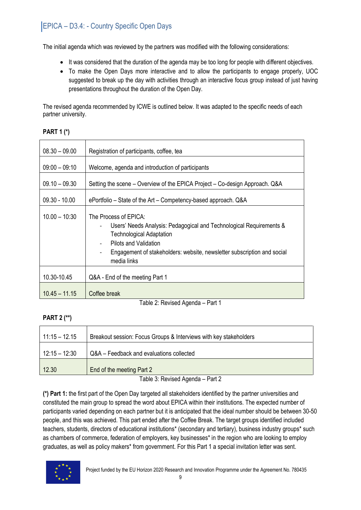The initial agenda which was reviewed by the partners was modified with the following considerations:

- It was considered that the duration of the agenda may be too long for people with different objectives.
- To make the Open Days more interactive and to allow the participants to engage properly, UOC suggested to break up the day with activities through an interactive focus group instead of just having presentations throughout the duration of the Open Day.

The revised agenda recommended by ICWE is outlined below. It was adapted to the specific needs of each partner university.

#### **PART 1 (\*)**

| $08.30 - 09.00$ | Registration of participants, coffee, tea                                                                                                                                                                                                                                                                  |
|-----------------|------------------------------------------------------------------------------------------------------------------------------------------------------------------------------------------------------------------------------------------------------------------------------------------------------------|
| $09:00 - 09:10$ | Welcome, agenda and introduction of participants                                                                                                                                                                                                                                                           |
| $09.10 - 09.30$ | Setting the scene – Overview of the EPICA Project – Co-design Approach. Q&A                                                                                                                                                                                                                                |
| $09.30 - 10.00$ | ePortfolio – State of the Art – Competency-based approach. Q&A                                                                                                                                                                                                                                             |
| $10.00 - 10:30$ | The Process of EPICA:<br>Users' Needs Analysis: Pedagogical and Technological Requirements &<br><b>Technological Adaptation</b><br>Pilots and Validation<br>$\overline{\phantom{0}}$<br>Engagement of stakeholders: website, newsletter subscription and social<br>$\overline{\phantom{a}}$<br>media links |
| 10.30-10.45     | Q&A - End of the meeting Part 1                                                                                                                                                                                                                                                                            |
| $10.45 - 11.15$ | Coffee break                                                                                                                                                                                                                                                                                               |

Table 2: Revised Agenda – Part 1

#### **PART 2 (\*\*)**

| $11:15 - 12.15$ | Breakout session: Focus Groups & Interviews with key stakeholders |
|-----------------|-------------------------------------------------------------------|
| $12:15 - 12:30$ | Q&A - Feedback and evaluations collected                          |
| 12.30           | End of the meeting Part 2                                         |

Table 3: Revised Agenda – Part 2

**(\*) Part 1:** the first part of the Open Day targeted all stakeholders identified by the partner universities and constituted the main group to spread the word about EPICA within their institutions. The expected number of participants varied depending on each partner but it is anticipated that the ideal number should be between 30-50 people, and this was achieved. This part ended after the Coffee Break. The target groups identified included teachers, students, directors of educational institutions\* (secondary and tertiary), business industry groups\* such as chambers of commerce, federation of employers, key businesses\* in the region who are looking to employ graduates, as well as policy makers\* from government. For this Part 1 a special invitation letter was sent.

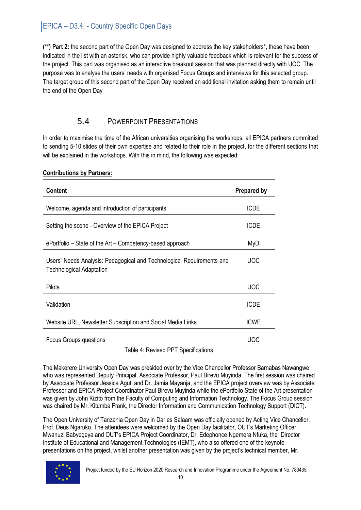**(\*\*) Part 2:** the second part of the Open Day was designed to address the key stakeholders\*, these have been indicated in the list with an asterisk, who can provide highly valuable feedback which is relevant for the success of the project. This part was organised as an interactive breakout session that was planned directly with UOC. The purpose was to analyse the users' needs with organised Focus Groups and interviews for this selected group. The target group of this second part of the Open Day received an additional invitation asking them to remain until the end of the Open Day

### 5.4 POWERPOINT PRESENTATIONS

In order to maximise the time of the African universities organising the workshops, all EPICA partners committed to sending 5-10 slides of their own expertise and related to their role in the project, for the different sections that will be explained in the workshops. With this in mind, the following was expected:

| <b>Content</b>                                                                                           | <b>Prepared by</b> |
|----------------------------------------------------------------------------------------------------------|--------------------|
| Welcome, agenda and introduction of participants                                                         | <b>ICDE</b>        |
| Setting the scene - Overview of the EPICA Project                                                        | <b>ICDE</b>        |
| ePortfolio – State of the Art – Competency-based approach                                                | MyD                |
| Users' Needs Analysis: Pedagogical and Technological Requirements and<br><b>Technological Adaptation</b> | <b>UOC</b>         |
| Pilots                                                                                                   | <b>UOC</b>         |
| Validation                                                                                               | <b>ICDE</b>        |
| Website URL, Newsletter Subscription and Social Media Links                                              | <b>ICWE</b>        |
| <b>Focus Groups questions</b>                                                                            | <b>UOC</b>         |

#### **Contributions by Partners:**

Table 4: Revised PPT Specifications

The Makerere University Open Day was presided over by the Vice Chancellor Professor Barnabas Nawangwe who was represented Deputy Principal, Associate Professor, Paul Birevu Muyinda. The first session was chaired by Associate Professor Jessica Aguti and Dr. Jamia Mayanja, and the EPICA project overview was by Associate Professor and EPICA Project Coordinator Paul Birevu Muyinda while the ePortfolio State of the Art presentation was given by John Kizito from the Faculty of Computing and Information Technology. The Focus Group session was chaired by Mr. Kitumba Frank, the Director Information and Communication Technology Support (DICT).

The Open University of Tanzania Open Day in Dar es Salaam was officially opened by Acting Vice Chancellor, Prof. Deus Ngaruko. The attendees were welcomed by the Open Day facilitator, OUT's Marketing Officer, Mwanuzi Babyegeya and OUT's EPICA Project Coordinator, Dr. Edephonce Ngemera Nfuka, the Director Institute of Educational and Management Technologies (IEMT), who also offered one of the keynote presentations on the project, whilst another presentation was given by the project's technical member, Mr.

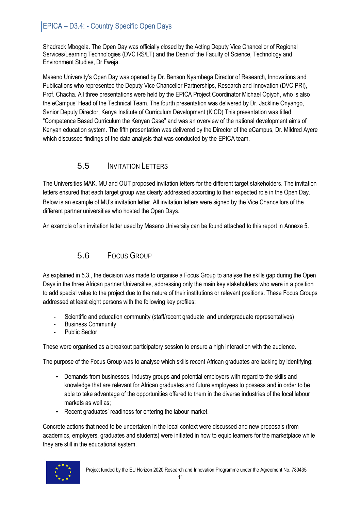Shadrack Mbogela. The Open Day was officially closed by the Acting Deputy Vice Chancellor of Regional Services/Learning Technologies (DVC RS/LT) and the Dean of the Faculty of Science, Technology and Environment Studies, Dr Fweja.

Maseno University's Open Day was opened by Dr. Benson Nyambega Director of Research, Innovations and Publications who represented the Deputy Vice Chancellor Partnerships, Research and Innovation (DVC PRI), Prof. Chacha. All three presentations were held by the EPICA Project Coordinator Michael Opiyoh, who is also the eCampus' Head of the Technical Team. The fourth presentation was delivered by Dr. Jackline Onyango, Senior Deputy Director, Kenya Institute of Curriculum Development (KICD) This presentation was titled "Competence Based Curriculum the Kenyan Case" and was an overview of the national development aims of Kenyan education system. The fifth presentation was delivered by the Director of the eCampus, Dr. Mildred Ayere which discussed findings of the data analysis that was conducted by the EPICA team.

### 5.5 INVITATION LETTERS

The Universities MAK, MU and OUT proposed invitation letters for the different target stakeholders. The invitation letters ensured that each target group was clearly addressed according to their expected role in the Open Day. Below is an example of MU's invitation letter. All invitation letters were signed by the Vice Chancellors of the different partner universities who hosted the Open Days.

An example of an invitation letter used by Maseno University can be found attached to this report in Annexe 5.

## 5.6 FOCUS GROUP

As explained in 5.3., the decision was made to organise a Focus Group to analyse the skills gap during the Open Days in the three African partner Universities, addressing only the main key stakeholders who were in a position to add special value to the project due to the nature of their institutions or relevant positions. These Focus Groups addressed at least eight persons with the following key profiles:

- Scientific and education community (staff/recent graduate and undergraduate representatives)
- Business Community
- Public Sector

These were organised as a breakout participatory session to ensure a high interaction with the audience.

The purpose of the Focus Group was to analyse which skills recent African graduates are lacking by identifying:

- Demands from businesses, industry groups and potential employers with regard to the skills and knowledge that are relevant for African graduates and future employees to possess and in order to be able to take advantage of the opportunities offered to them in the diverse industries of the local labour markets as well as;
- Recent graduates' readiness for entering the labour market.

Concrete actions that need to be undertaken in the local context were discussed and new proposals (from academics, employers, graduates and students) were initiated in how to equip learners for the marketplace while they are still in the educational system.

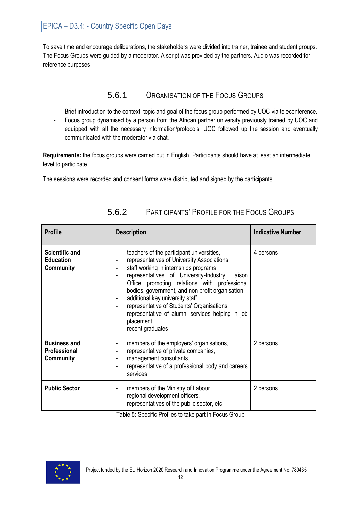To save time and encourage deliberations, the stakeholders were divided into trainer, trainee and student groups. The Focus Groups were guided by a moderator. A script was provided by the partners. Audio was recorded for reference purposes.

## 5.6.1 ORGANISATION OF THE FOCUS GROUPS

- Brief introduction to the context, topic and goal of the focus group performed by UOC via teleconference.
- Focus group dynamised by a person from the African partner university previously trained by UOC and equipped with all the necessary information/protocols. UOC followed up the session and eventually communicated with the moderator via chat.

**Requirements:** the focus groups were carried out in English. Participants should have at least an intermediate level to participate.

The sessions were recorded and consent forms were distributed and signed by the participants.

| <b>Profile</b>                                         | <b>Description</b>                                                                                                                                                                                                                                                                                                                                                                                                                                                    | <b>Indicative Number</b> |
|--------------------------------------------------------|-----------------------------------------------------------------------------------------------------------------------------------------------------------------------------------------------------------------------------------------------------------------------------------------------------------------------------------------------------------------------------------------------------------------------------------------------------------------------|--------------------------|
| <b>Scientific and</b><br><b>Education</b><br>Community | teachers of the participant universities,<br>representatives of University Associations,<br>staff working in internships programs<br>۰<br>representatives of University-Industry Liaison<br>÷<br>Office promoting relations with professional<br>bodies, government, and non-profit organisation<br>additional key university staff<br>representative of Students' Organisations<br>representative of alumni services helping in job<br>placement<br>recent graduates | 4 persons                |
| <b>Business and</b><br>Professional<br>Community       | members of the employers' organisations,<br>representative of private companies,<br>management consultants,<br>representative of a professional body and careers<br>services                                                                                                                                                                                                                                                                                          | 2 persons                |
| <b>Public Sector</b>                                   | members of the Ministry of Labour,<br>regional development officers,<br>۰<br>representatives of the public sector, etc.                                                                                                                                                                                                                                                                                                                                               | 2 persons                |

## 5.6.2 PARTICIPANTS' PROFILE FOR THE FOCUS GROUPS

Table 5: Specific Profiles to take part in Focus Group

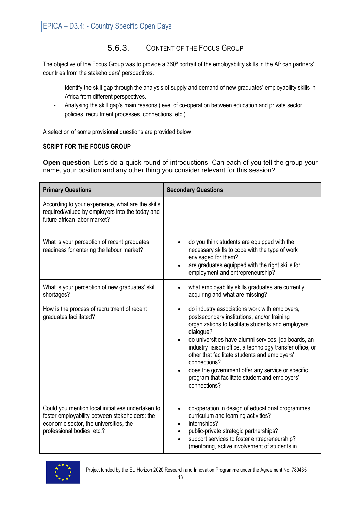## 5.6.3. CONTENT OF THE FOCUS GROUP

The objective of the Focus Group was to provide a 360º portrait of the employability skills in the African partners' countries from the stakeholders' perspectives.

- Identify the skill gap through the analysis of supply and demand of new graduates' employability skills in Africa from different perspectives.
- Analysing the skill gap's main reasons (level of co-operation between education and private sector, policies, recruitment processes, connections, etc.).

A selection of some provisional questions are provided below:

#### **SCRIPT FOR THE FOCUS GROUP**

**Open question**: Let's do a quick round of introductions. Can each of you tell the group your name, your position and any other thing you consider relevant for this session?

| <b>Primary Questions</b>                                                                                                                                                    | <b>Secondary Questions</b>                                                                                                                                                                                                                                                                                                                                                                                                                                                                                           |
|-----------------------------------------------------------------------------------------------------------------------------------------------------------------------------|----------------------------------------------------------------------------------------------------------------------------------------------------------------------------------------------------------------------------------------------------------------------------------------------------------------------------------------------------------------------------------------------------------------------------------------------------------------------------------------------------------------------|
| According to your experience, what are the skills<br>required/valued by employers into the today and<br>future african labor market?                                        |                                                                                                                                                                                                                                                                                                                                                                                                                                                                                                                      |
| What is your perception of recent graduates<br>readiness for entering the labour market?                                                                                    | do you think students are equipped with the<br>necessary skills to cope with the type of work<br>envisaged for them?<br>are graduates equipped with the right skills for<br>$\bullet$<br>employment and entrepreneurship?                                                                                                                                                                                                                                                                                            |
| What is your perception of new graduates' skill<br>shortages?                                                                                                               | what employability skills graduates are currently<br>acquiring and what are missing?                                                                                                                                                                                                                                                                                                                                                                                                                                 |
| How is the process of recruitment of recent<br>graduates facilitated?                                                                                                       | do industry associations work with employers,<br>$\bullet$<br>postsecondary institutions, and/or training<br>organizations to facilitate students and employers'<br>dialogue?<br>do universities have alumni services, job boards, an<br>$\bullet$<br>industry liaison office, a technology transfer office, or<br>other that facilitate students and employers'<br>connections?<br>does the government offer any service or specific<br>$\bullet$<br>program that facilitate student and employers'<br>connections? |
| Could you mention local initiatives undertaken to<br>foster employability between stakeholders: the<br>economic sector, the universities, the<br>professional bodies, etc.? | co-operation in design of educational programmes,<br>curriculum and learning activities?<br>internships?<br>$\bullet$<br>public-private strategic partnerships?<br>$\bullet$<br>support services to foster entrepreneurship?<br>$\bullet$<br>(mentoring, active involvement of students in                                                                                                                                                                                                                           |

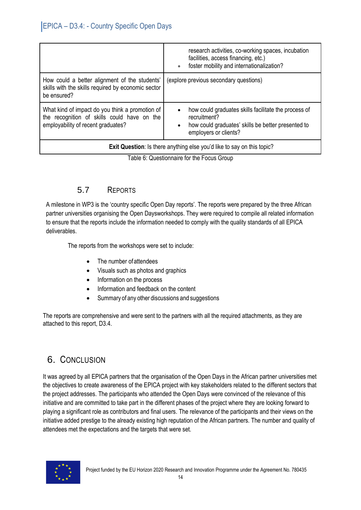|                                                                                                                                      | research activities, co-working spaces, incubation<br>facilities, access financing, etc.)<br>foster mobility and internationalization?                           |
|--------------------------------------------------------------------------------------------------------------------------------------|------------------------------------------------------------------------------------------------------------------------------------------------------------------|
| How could a better alignment of the students'<br>skills with the skills required by economic sector<br>be ensured?                   | (explore previous secondary questions)                                                                                                                           |
| What kind of impact do you think a promotion of<br>the recognition of skills could have on the<br>employability of recent graduates? | how could graduates skills facilitate the process of<br>recruitment?<br>how could graduates' skills be better presented to<br>$\bullet$<br>employers or clients? |
|                                                                                                                                      | Exit Question: Is there anything else you'd like to say on this topic?                                                                                           |

Table 6: Questionnaire for the Focus Group

### 5.7 REPORTS

A milestone in WP3 is the 'country specific Open Day reports'. The reports were prepared by the three African partner universities organising the Open Daysworkshops. They were required to compile all related information to ensure that the reports include the information needed to comply with the quality standards of all EPICA deliverables.

The reports from the workshops were set to include:

- The number ofattendees
- Visuals such as photos and graphics
- Information on the process
- Information and feedback on the content
- Summary of any other discussions and suggestions

The reports are comprehensive and were sent to the partners with all the required attachments, as they are attached to this report, D3.4.

# 6. CONCLUSION

It was agreed by all EPICA partners that the organisation of the Open Days in the African partner universities met the objectives to create awareness of the EPICA project with key stakeholders related to the different sectors that the project addresses. The participants who attended the Open Days were convinced of the relevance of this initiative and are committed to take part in the different phases of the project where they are looking forward to playing a significant role as contributors and final users. The relevance of the participants and their views on the initiative added prestige to the already existing high reputation of the African partners. The number and quality of attendees met the expectations and the targets that were set.

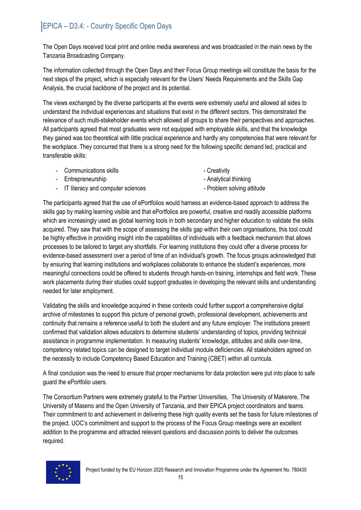The Open Days received local print and online media awareness and was broadcasted in the main news by the Tanzania Broadcasting Company.

The information collected through the Open Days and their Focus Group meetings will constitute the basis for the next steps of the project, which is especially relevant for the Users' Needs Requirements and the Skills Gap Analysis, the crucial backbone of the project and its potential.

The views exchanged by the diverse participants at the events were extremely useful and allowed all sides to understand the individual experiences and situations that exist in the different sectors. This demonstrated the relevance of such multi-stakeholder events which allowed all groups to share their perspectives and approaches. All participants agreed that most graduates were not equipped with employable skills, and that the knowledge they gained was too theoretical with little practical experience and hardly any competencies that were relevant for the workplace. They concurred that there is a strong need for the following specific demand led, practical and transferable skills:

- Communications skills Creativity
- Entrepreneurship **Entrepreneurship** Analytical thinking
- 

- 
- IT literacy and computer sciences Problem solving attitude

The participants agreed that the use of ePortfolios would harness an evidence-based approach to address the skills gap by making learning visible and that ePortfolios are powerful, creative and readily accessible platforms which are increasingly used as global learning tools in both secondary and higher education to validate the skills acquired. They saw that with the scope of assessing the skills gap within their own organisations, this tool could be highly effective in providing insight into the capabilities of individuals with a feedback mechanism that allows processes to be tailored to target any shortfalls. For learning institutions they could offer a diverse process for evidence-based assessment over a period of time of an individual's growth. The focus groups acknowledged that by ensuring that learning institutions and workplaces collaborate to enhance the student's experiences, more meaningful connections could be offered to students through hands-on training, internships and field work. These work placements during their studies could support graduates in developing the relevant skills and understanding needed for later employment.

Validating the skills and knowledge acquired in these contexts could further support a comprehensive digital archive of milestones to support this picture of personal growth, professional development, achievements and continuity that remains a reference useful to both the student and any future employer. The institutions present confirmed that validation allows educators to determine students' understanding of topics, providing technical assistance in programme implementation. In measuring students' knowledge, attitudes and skills over-time, competency related topics can be designed to target individual module deficiencies. All stakeholders agreed on the necessity to include Competency Based Education and Training (CBET) within all curricula.

A final conclusion was the need to ensure that proper mechanisms for data protection were put into place to safe guard the ePortfolio users.

The Consortium Partners were extremely grateful to the Partner Universities, The University of Makerere, The University of Maseno and the Open University of Tanzania, and their EPICA project coordinators and teams. Their commitment to and achievement in delivering these high quality events set the basis for future milestones of the project. UOC's commitment and support to the process of the Focus Group meetings were an excellent addition to the programme and attracted relevant questions and discussion points to deliver the outcomes required.

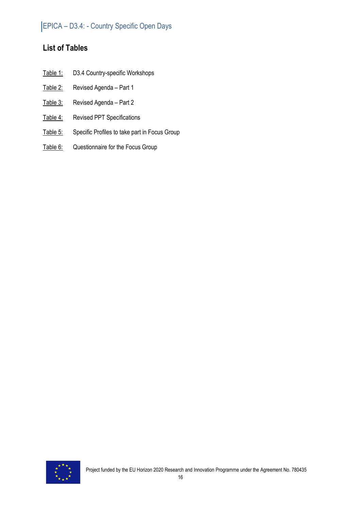## **List of Tables**

- Table 1: D3.4 Country-specific Workshops
- Table 2: Revised Agenda Part 1
- Table 3: Revised Agenda Part 2
- Table 4: Revised PPT Specifications
- Table 5: Specific Profiles to take part in Focus Group
- Table 6: Questionnaire for the Focus Group

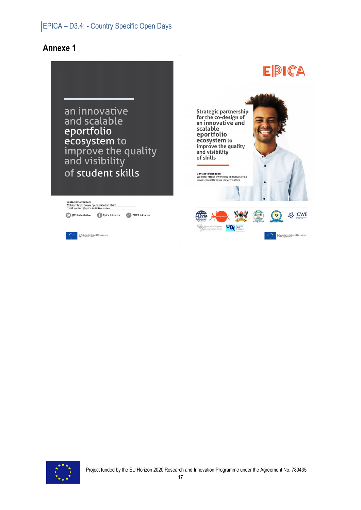## **Annexe 1**



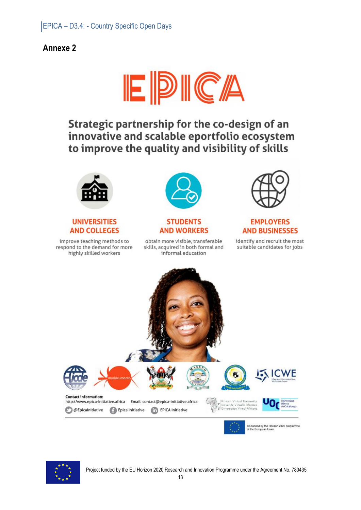## **Annexe 2**



Strategic partnership for the co-design of an innovative and scalable eportfolio ecosystem to improve the quality and visibility of skills



#### **UNIVERSITIES AND COLLEGES**

improve teaching methods to respond to the demand for more highly skilled workers



#### **STUDENTS AND WORKERS**

obtain more visible, transferable skills, acquired in both formal and informal education



#### **EMPLOYERS AND BUSINESSES**

identify and recruit the most suitable candidates for jobs



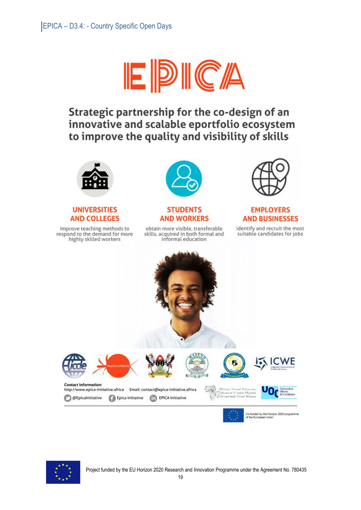

# Strategic partnership for the co-design of an innovative and scalable eportfolio ecosystem to improve the quality and visibility of skills



#### **UNIVERSITIES AND COLLEGES**

improve teaching methods to respond to the demand for more highly skilled workers



#### **STUDENTS AND WORKERS**

obtain more visible, transferable skills, acquired in both formal and informal education



### **EMPLOYERS AND BUSINESSES**

identify and recruit the most suitable candidates for jobs



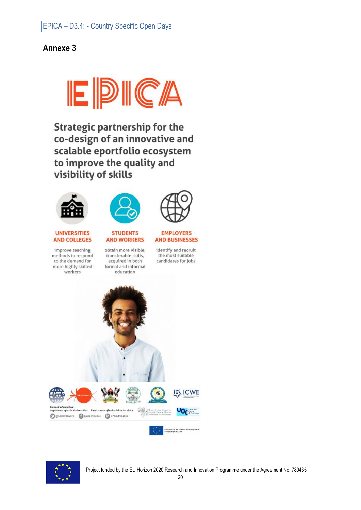## **Annexe 3**



**Strategic partnership for the** co-design of an innovative and scalable eportfolio ecosystem to improve the quality and visibility of skills





#### **UNIVERSITIES AND COLLEGES**

improve teaching methods to respond to the demand for more highly skilled workers



**STUDENTS** 



#### **EMPLOYERS AND BUSINESSES**

identify and recruit the most suitable candidates for jobs